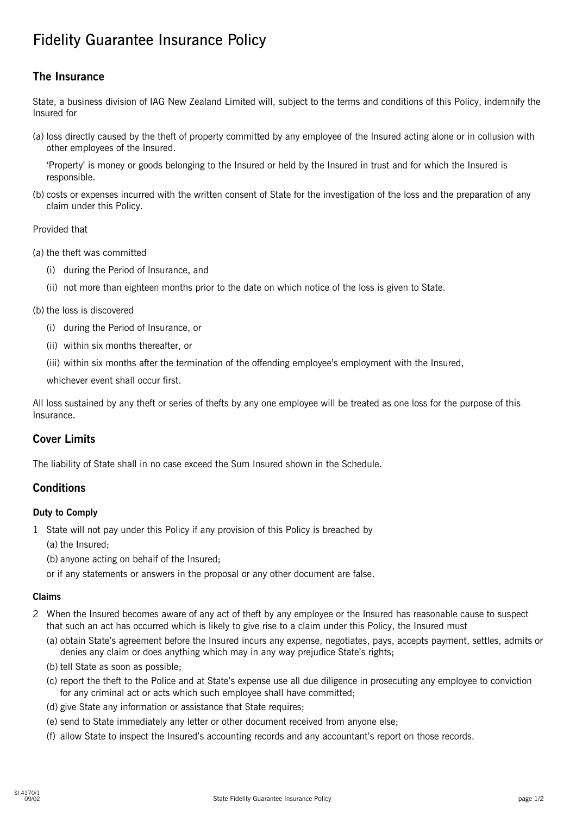# Fidelity Guarantee Insurance Policy

## **The Insurance**

State, a business division of IAG New Zealand Limited will, subject to the terms and conditions of this Policy, indemnify the Insured for

(a) loss directly caused by the theft of property committed by any employee of the Insured acting alone or in collusion with other employees of the Insured.

'Property' is money or goods belonging to the Insured or held by the Insured in trust and for which the Insured is responsible.

(b) costs or expenses incurred with the written consent of State for the investigation of the loss and the preparation of any claim under this Policy.

Provided that

- (a) the theft was committed
	- (i) during the Period of Insurance, and
	- (ii) not more than eighteen months prior to the date on which notice of the loss is given to State.
- (b) the loss is discovered
	- (i) during the Period of Insurance, or
	- (ii) within six months thereafter, or
	- (iii) within six months after the termination of the offending employee's employment with the Insured,

whichever event shall occur first.

All loss sustained by any theft or series of thefts by any one employee will be treated as one loss for the purpose of this Insurance.

### **Cover Limits**

The liability of State shall in no case exceed the Sum Insured shown in the Schedule.

### **Conditions**

#### **Duty to Comply**

- 1 State will not pay under this Policy if any provision of this Policy is breached by
	- (a) the Insured;
	- (b) anyone acting on behalf of the Insured;
	- or if any statements or answers in the proposal or any other document are false.

#### **Claims**

- 2 When the Insured becomes aware of any act of theft by any employee or the Insured has reasonable cause to suspect that such an act has occurred which is likely to give rise to a claim under this Policy, the Insured must
	- (a) obtain State's agreement before the Insured incurs any expense, negotiates, pays, accepts payment, settles, admits or denies any claim or does anything which may in any way prejudice State's rights;
	- (b) tell State as soon as possible;
	- (c) report the theft to the Police and at State's expense use all due diligence in prosecuting any employee to conviction for any criminal act or acts which such employee shall have committed;
	- (d) give State any information or assistance that State requires;
	- (e) send to State immediately any letter or other document received from anyone else;
	- (f) allow State to inspect the Insured's accounting records and any accountant's report on those records.